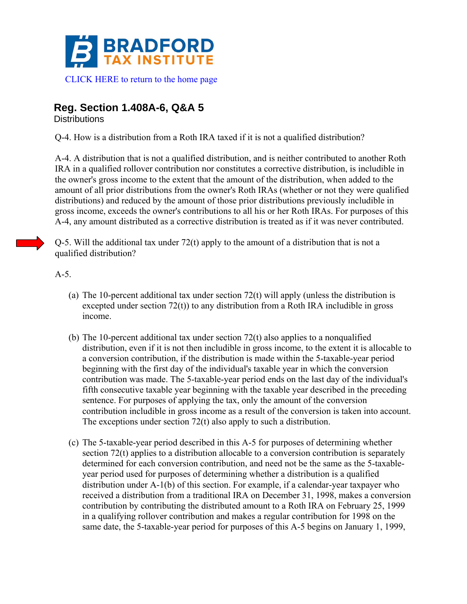

## **Reg. Section 1.408A-6, Q&A 5**

**Distributions** 

Q-4. How is a distribution from a Roth IRA taxed if it is not a qualified distribution?

A-4. A distribution that is not a qualified distribution, and is neither contributed to another Roth IRA in a qualified rollover contribution nor constitutes a corrective distribution, is includible in the owner's gross income to the extent that the amount of the distribution, when added to the amount of all prior distributions from the owner's Roth IRAs (whether or not they were qualified distributions) and reduced by the amount of those prior distributions previously includible in gross income, exceeds the owner's contributions to all his or her Roth IRAs. For purposes of this A-4, any amount distributed as a corrective distribution is treated as if it was never contributed.

Q-5. Will the additional tax under 72(t) apply to the amount of a distribution that is not a qualified distribution?

A-5.

- (a) The 10-percent additional tax under section  $72(t)$  will apply (unless the distribution is excepted under section 72(t)) to any distribution from a Roth IRA includible in gross income.
- (b) The 10-percent additional tax under section 72(t) also applies to a nonqualified distribution, even if it is not then includible in gross income, to the extent it is allocable to a conversion contribution, if the distribution is made within the 5-taxable-year period beginning with the first day of the individual's taxable year in which the conversion contribution was made. The 5-taxable-year period ends on the last day of the individual's fifth consecutive taxable year beginning with the taxable year described in the preceding sentence. For purposes of applying the tax, only the amount of the conversion contribution includible in gross income as a result of the conversion is taken into account. The exceptions under section 72(t) also apply to such a distribution.
- (c) The 5-taxable-year period described in this A-5 for purposes of determining whether section 72(t) applies to a distribution allocable to a conversion contribution is separately determined for each conversion contribution, and need not be the same as the 5-taxableyear period used for purposes of determining whether a distribution is a qualified distribution under A-1(b) of this section. For example, if a calendar-year taxpayer who received a distribution from a traditional IRA on December 31, 1998, makes a conversion contribution by contributing the distributed amount to a Roth IRA on February 25, 1999 in a qualifying rollover contribution and makes a regular contribution for 1998 on the same date, the 5-taxable-year period for purposes of this A-5 begins on January 1, 1999,